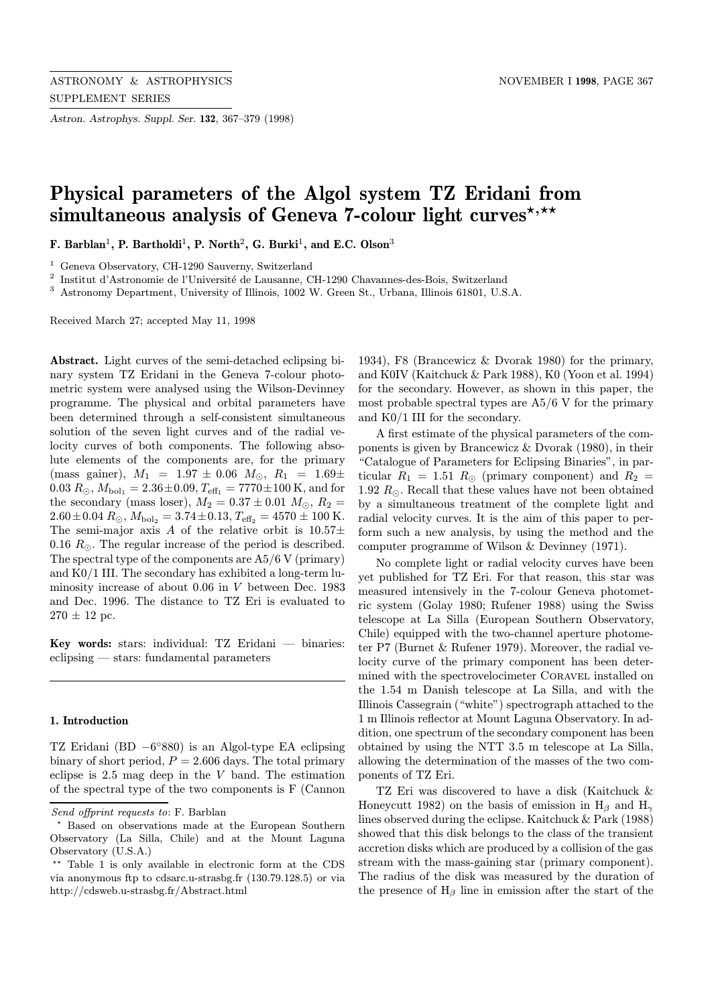Astron. Astrophys. Suppl. Ser. 132, 367–379 (1998)

# Physical parameters of the Algol system TZ Eridani from simultaneous analysis of Geneva 7-colour light curves<sup>\*,\*\*</sup>

F. Barblan<sup>1</sup>, P. Bartholdi<sup>1</sup>, P. North<sup>2</sup>, G. Burki<sup>1</sup>, and E.C. Olson<sup>3</sup>

 $^{\rm 1}$  Geneva Observatory, CH-1290 Sauverny, Switzerland

<sup>2</sup> Institut d'Astronomie de l'Université de Lausanne, CH-1290 Chavannes-des-Bois, Switzerland

<sup>3</sup> Astronomy Department, University of Illinois, 1002 W. Green St., Urbana, Illinois 61801, U.S.A.

Received March 27; accepted May 11, 1998

Abstract. Light curves of the semi-detached eclipsing binary system TZ Eridani in the Geneva 7-colour photometric system were analysed using the Wilson-Devinney programme. The physical and orbital parameters have been determined through a self-consistent simultaneous solution of the seven light curves and of the radial velocity curves of both components. The following absolute elements of the components are, for the primary (mass gainer),  $M_1 = 1.97 \pm 0.06$   $M_{\odot}$ ,  $R_1 = 1.69 \pm 0.06$  $0.03 R_{\odot}$ ,  $M_{\text{bol}_1} = 2.36 \pm 0.09$ ,  $T_{\text{eff}_1} = 7770 \pm 100$  K, and for the secondary (mass loser),  $M_2 = 0.37 \pm 0.01$   $M_\odot$ ,  $R_2 =$  $2.60 \pm 0.04$   $R_{\odot}$ ,  $M_{\text{bol}_2} = 3.74 \pm 0.13$ ,  $T_{\text{eff}_2} = 4570 \pm 100$  K. The semi-major axis A of the relative orbit is  $10.57\pm$ 0.16  $R_{\odot}$ . The regular increase of the period is described. The spectral type of the components are A5/6 V (primary) and K0/1 III. The secondary has exhibited a long-term luminosity increase of about 0.06 in V between Dec. 1983 and Dec. 1996. The distance to TZ Eri is evaluated to  $270 \pm 12$  pc.

Key words: stars: individual: TZ Eridani — binaries: eclipsing — stars: fundamental parameters

#### 1. Introduction

TZ Eridani (BD −6◦880) is an Algol-type EA eclipsing binary of short period,  $P = 2.606$  days. The total primary eclipse is 2.5 mag deep in the V band. The estimation of the spectral type of the two components is F (Cannon 1934), F8 (Brancewicz & Dvorak 1980) for the primary, and K0IV (Kaitchuck & Park 1988), K0 (Yoon et al. 1994) for the secondary. However, as shown in this paper, the most probable spectral types are A5/6 V for the primary and K0/1 III for the secondary.

A first estimate of the physical parameters of the components is given by Brancewicz & Dvorak (1980), in their "Catalogue of Parameters for Eclipsing Binaries", in particular  $R_1 = 1.51 R_{\odot}$  (primary component) and  $R_2 =$ 1.92  $R_{\odot}$ . Recall that these values have not been obtained by a simultaneous treatment of the complete light and radial velocity curves. It is the aim of this paper to perform such a new analysis, by using the method and the computer programme of Wilson & Devinney (1971).

No complete light or radial velocity curves have been yet published for TZ Eri. For that reason, this star was measured intensively in the 7-colour Geneva photometric system (Golay 1980; Rufener 1988) using the Swiss telescope at La Silla (European Southern Observatory, Chile) equipped with the two-channel aperture photometer P7 (Burnet & Rufener 1979). Moreover, the radial velocity curve of the primary component has been determined with the spectrovelocimeter Coravel installed on the 1.54 m Danish telescope at La Silla, and with the Illinois Cassegrain ("white") spectrograph attached to the 1 m Illinois reflector at Mount Laguna Observatory. In addition, one spectrum of the secondary component has been obtained by using the NTT 3.5 m telescope at La Silla, allowing the determination of the masses of the two components of TZ Eri.

TZ Eri was discovered to have a disk (Kaitchuck & Honeycutt 1982) on the basis of emission in  $H_\beta$  and  $H_\gamma$ lines observed during the eclipse. Kaitchuck & Park (1988) showed that this disk belongs to the class of the transient accretion disks which are produced by a collision of the gas stream with the mass-gaining star (primary component). The radius of the disk was measured by the duration of the presence of  $H_\beta$  line in emission after the start of the

Send offprint requests to: F. Barblan

<sup>?</sup> Based on observations made at the European Southern Observatory (La Silla, Chile) and at the Mount Laguna Observatory (U.S.A.)

<sup>\*\*</sup> Table 1 is only available in electronic form at the CDS via anonymous ftp to cdsarc.u-strasbg.fr (130.79.128.5) or via http://cdsweb.u-strasbg.fr/Abstract.html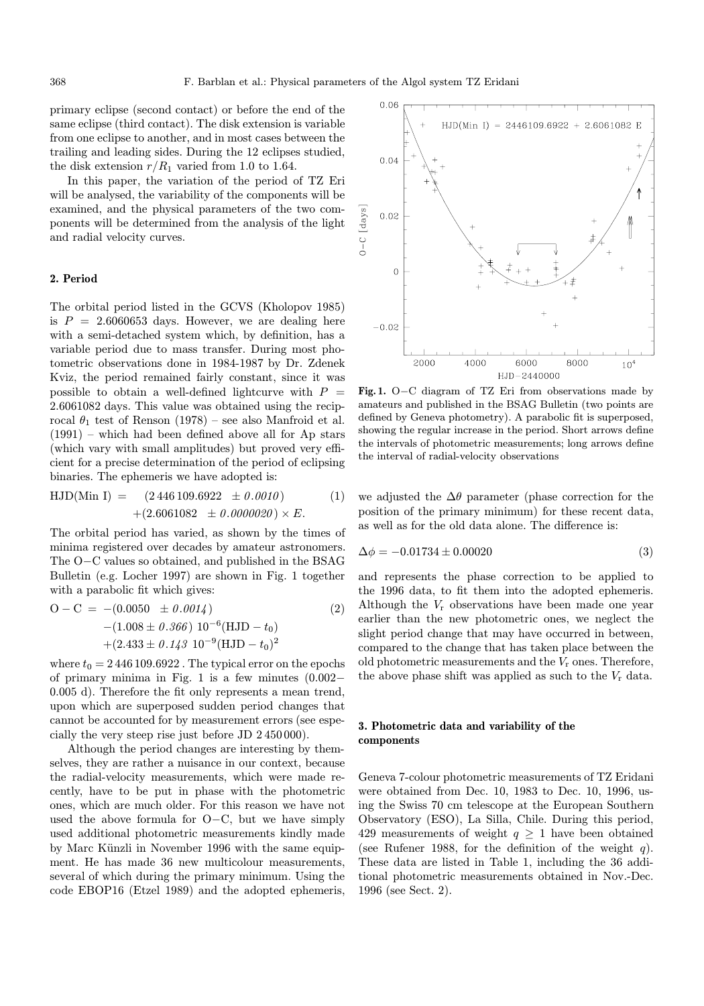primary eclipse (second contact) or before the end of the same eclipse (third contact). The disk extension is variable from one eclipse to another, and in most cases between the trailing and leading sides. During the 12 eclipses studied, the disk extension  $r/R_1$  varied from 1.0 to 1.64.

In this paper, the variation of the period of TZ Eri will be analysed, the variability of the components will be examined, and the physical parameters of the two components will be determined from the analysis of the light and radial velocity curves.

## 2. Period

The orbital period listed in the GCVS (Kholopov 1985) is  $P = 2.6060653$  days. However, we are dealing here with a semi-detached system which, by definition, has a variable period due to mass transfer. During most photometric observations done in 1984-1987 by Dr. Zdenek Kviz, the period remained fairly constant, since it was possible to obtain a well-defined lightcurve with  $P =$ 2.6061082 days. This value was obtained using the reciprocal  $\theta_1$  test of Renson (1978) – see also Manfroid et al. (1991) – which had been defined above all for Ap stars (which vary with small amplitudes) but proved very efficient for a precise determination of the period of eclipsing binaries. The ephemeris we have adopted is:

HJD(Min I) = 
$$
(2\,446\,109.6922 \pm 0.0010)
$$
 (1)  
+(2.6061082 \pm 0.0000020) × E.

The orbital period has varied, as shown by the times of minima registered over decades by amateur astronomers. The O−C values so obtained, and published in the BSAG Bulletin (e.g. Locher 1997) are shown in Fig. 1 together with a parabolic fit which gives:

$$
O-C = -(0.0050 \pm 0.0014)
$$
  
-(1.008 ± 0.366) 10<sup>-6</sup>(HJD – t<sub>0</sub>)  
+(2.433 ± 0.143 10<sup>-9</sup>(HJD – t<sub>0</sub>)<sup>2</sup>

where  $t_0 = 2446109.6922$ . The typical error on the epochs of primary minima in Fig. 1 is a few minutes (0.002− 0.005 d). Therefore the fit only represents a mean trend, upon which are superposed sudden period changes that cannot be accounted for by measurement errors (see especially the very steep rise just before JD 2 450 000).

Although the period changes are interesting by themselves, they are rather a nuisance in our context, because the radial-velocity measurements, which were made recently, have to be put in phase with the photometric ones, which are much older. For this reason we have not used the above formula for O−C, but we have simply used additional photometric measurements kindly made by Marc Künzli in November 1996 with the same equipment. He has made 36 new multicolour measurements, several of which during the primary minimum. Using the code EBOP16 (Etzel 1989) and the adopted ephemeris,



Fig. 1. O−C diagram of TZ Eri from observations made by amateurs and published in the BSAG Bulletin (two points are defined by Geneva photometry). A parabolic fit is superposed, showing the regular increase in the period. Short arrows define the intervals of photometric measurements; long arrows define the interval of radial-velocity observations

we adjusted the  $\Delta\theta$  parameter (phase correction for the position of the primary minimum) for these recent data, as well as for the old data alone. The difference is:

$$
\Delta \phi = -0.01734 \pm 0.00020 \tag{3}
$$

and represents the phase correction to be applied to the 1996 data, to fit them into the adopted ephemeris. Although the  $V_r$  observations have been made one year earlier than the new photometric ones, we neglect the slight period change that may have occurred in between, compared to the change that has taken place between the old photometric measurements and the  $V_r$  ones. Therefore, the above phase shift was applied as such to the  $V_r$  data.

# 3. Photometric data and variability of the components

Geneva 7-colour photometric measurements of TZ Eridani were obtained from Dec. 10, 1983 to Dec. 10, 1996, using the Swiss 70 cm telescope at the European Southern Observatory (ESO), La Silla, Chile. During this period, 429 measurements of weight  $q \geq 1$  have been obtained (see Rufener 1988, for the definition of the weight  $q$ ). These data are listed in Table 1, including the 36 additional photometric measurements obtained in Nov.-Dec. 1996 (see Sect. 2).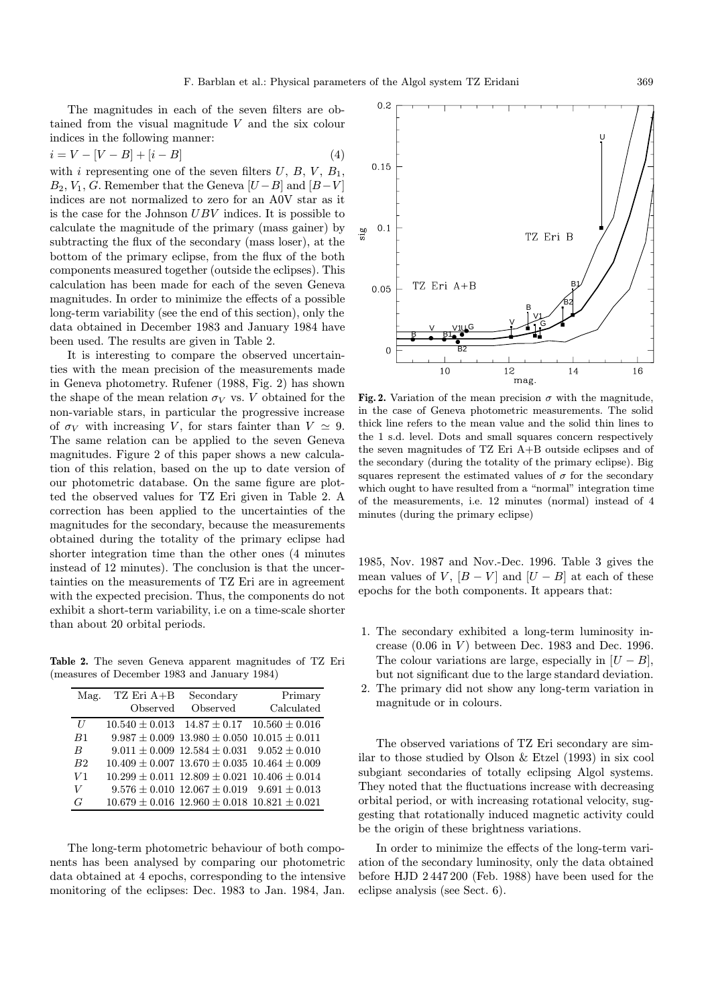The magnitudes in each of the seven filters are obtained from the visual magnitude V and the six colour indices in the following manner:

$$
i = V - [V - B] + [i - B]
$$
 (4)

with i representing one of the seven filters  $U, B, V, B_1$ ,  $B_2, V_1, G$ . Remember that the Geneva  $[U - B]$  and  $[B - V]$ indices are not normalized to zero for an A0V star as it is the case for the Johnson UBV indices. It is possible to calculate the magnitude of the primary (mass gainer) by subtracting the flux of the secondary (mass loser), at the bottom of the primary eclipse, from the flux of the both components measured together (outside the eclipses). This calculation has been made for each of the seven Geneva magnitudes. In order to minimize the effects of a possible long-term variability (see the end of this section), only the data obtained in December 1983 and January 1984 have been used. The results are given in Table 2.

It is interesting to compare the observed uncertainties with the mean precision of the measurements made in Geneva photometry. Rufener (1988, Fig. 2) has shown the shape of the mean relation  $\sigma_V$  vs. V obtained for the non-variable stars, in particular the progressive increase of  $\sigma_V$  with increasing V, for stars fainter than  $V \simeq 9$ . The same relation can be applied to the seven Geneva magnitudes. Figure 2 of this paper shows a new calculation of this relation, based on the up to date version of our photometric database. On the same figure are plotted the observed values for TZ Eri given in Table 2. A correction has been applied to the uncertainties of the magnitudes for the secondary, because the measurements obtained during the totality of the primary eclipse had shorter integration time than the other ones (4 minutes instead of 12 minutes). The conclusion is that the uncertainties on the measurements of TZ Eri are in agreement with the expected precision. Thus, the components do not exhibit a short-term variability, i.e on a time-scale shorter than about 20 orbital periods.

Table 2. The seven Geneva apparent magnitudes of TZ Eri (measures of December 1983 and January 1984)

| Mag.             | $TZ$ Eri A+B | Secondary                                                | Primary    |
|------------------|--------------|----------------------------------------------------------|------------|
|                  | Observed     | Observed                                                 | Calculated |
| U                |              | $10.540 \pm 0.013$ $14.87 \pm 0.17$ $10.560 \pm 0.016$   |            |
| B1               |              | $9.987 \pm 0.009$ 13.980 $\pm$ 0.050 10.015 $\pm$ 0.011  |            |
| $\boldsymbol{B}$ |              | $9.011 \pm 0.009$ $12.584 \pm 0.031$ $9.052 \pm 0.010$   |            |
| B2               |              | $10.409 \pm 0.007$ 13.670 $\pm$ 0.035 10.464 $\pm$ 0.009 |            |
| V1               |              | $10.299 \pm 0.011$ $12.809 \pm 0.021$ $10.406 \pm 0.014$ |            |
| V                |              | $9.576 \pm 0.010$ $12.067 \pm 0.019$ $9.691 \pm 0.013$   |            |
| G                |              | $10.679 \pm 0.016$ 12.960 $\pm$ 0.018 10.821 $\pm$ 0.021 |            |

The long-term photometric behaviour of both components has been analysed by comparing our photometric data obtained at 4 epochs, corresponding to the intensive monitoring of the eclipses: Dec. 1983 to Jan. 1984, Jan.



Fig. 2. Variation of the mean precision  $\sigma$  with the magnitude, in the case of Geneva photometric measurements. The solid thick line refers to the mean value and the solid thin lines to the 1 s.d. level. Dots and small squares concern respectively the seven magnitudes of TZ Eri A+B outside eclipses and of the secondary (during the totality of the primary eclipse). Big squares represent the estimated values of  $\sigma$  for the secondary which ought to have resulted from a "normal" integration time of the measurements, i.e. 12 minutes (normal) instead of 4 minutes (during the primary eclipse)

1985, Nov. 1987 and Nov.-Dec. 1996. Table 3 gives the mean values of V,  $[B - V]$  and  $[U - B]$  at each of these epochs for the both components. It appears that:

- 1. The secondary exhibited a long-term luminosity increase  $(0.06$  in  $V)$  between Dec. 1983 and Dec. 1996. The colour variations are large, especially in  $[U - B]$ , but not significant due to the large standard deviation.
- 2. The primary did not show any long-term variation in magnitude or in colours.

The observed variations of TZ Eri secondary are similar to those studied by Olson & Etzel (1993) in six cool subgiant secondaries of totally eclipsing Algol systems. They noted that the fluctuations increase with decreasing orbital period, or with increasing rotational velocity, suggesting that rotationally induced magnetic activity could be the origin of these brightness variations.

In order to minimize the effects of the long-term variation of the secondary luminosity, only the data obtained before HJD 2 447 200 (Feb. 1988) have been used for the eclipse analysis (see Sect. 6).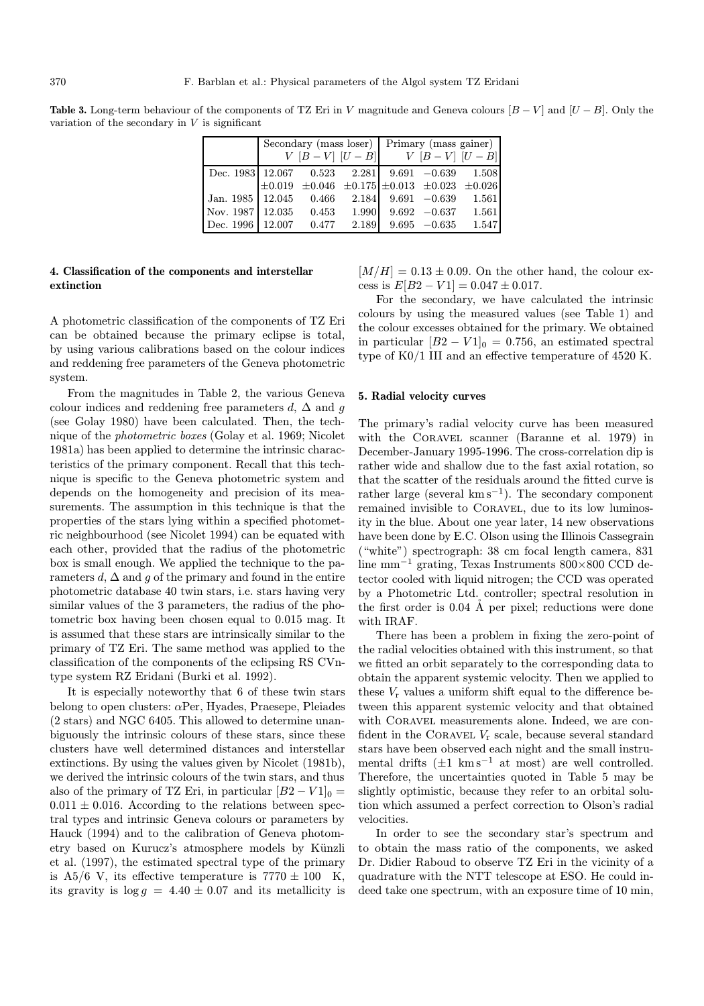**Table 3.** Long-term behaviour of the components of TZ Eri in V magnitude and Geneva colours  $[B-V]$  and  $[U-B]$ . Only the variation of the secondary in  $V$  is significant

|                                                          |               |       |       | Secondary (mass loser) Primary (mass gainer) |                                                               |       |
|----------------------------------------------------------|---------------|-------|-------|----------------------------------------------|---------------------------------------------------------------|-------|
|                                                          | $V[B-V][U-B]$ |       |       | $V [B-V] [U-B]$                              |                                                               |       |
| Dec. 1983   12.067   0.523   2.281 $9.691 - 0.639$ 1.508 |               |       |       |                                              |                                                               |       |
|                                                          |               |       |       |                                              | $\pm 0.019 \pm 0.046 \pm 0.175 \pm 0.013 \pm 0.023 \pm 0.026$ |       |
| Jan. 1985   12.045   0.466   2.184                       |               |       |       |                                              | $9.691 - 0.639$                                               | 1.561 |
| Nov. $1987 \mid 12.035$ 0.453 1.990 9.692 -0.637 1.561   |               |       |       |                                              |                                                               |       |
| Dec. 1996                                                | 12.007        | 0.477 | 2.189 |                                              | $9.695 -0.635$                                                | 1.547 |

# 4. Classification of the components and interstellar extinction

A photometric classification of the components of TZ Eri can be obtained because the primary eclipse is total, by using various calibrations based on the colour indices and reddening free parameters of the Geneva photometric system.

From the magnitudes in Table 2, the various Geneva colour indices and reddening free parameters d,  $\Delta$  and g (see Golay 1980) have been calculated. Then, the technique of the photometric boxes (Golay et al. 1969; Nicolet 1981a) has been applied to determine the intrinsic characteristics of the primary component. Recall that this technique is specific to the Geneva photometric system and depends on the homogeneity and precision of its measurements. The assumption in this technique is that the properties of the stars lying within a specified photometric neighbourhood (see Nicolet 1994) can be equated with each other, provided that the radius of the photometric box is small enough. We applied the technique to the parameters d,  $\Delta$  and g of the primary and found in the entire photometric database 40 twin stars, i.e. stars having very similar values of the 3 parameters, the radius of the photometric box having been chosen equal to 0.015 mag. It is assumed that these stars are intrinsically similar to the primary of TZ Eri. The same method was applied to the classification of the components of the eclipsing RS CVntype system RZ Eridani (Burki et al. 1992).

It is especially noteworthy that 6 of these twin stars belong to open clusters:  $\alpha$ Per, Hyades, Praesepe, Pleiades (2 stars) and NGC 6405. This allowed to determine unanbiguously the intrinsic colours of these stars, since these clusters have well determined distances and interstellar extinctions. By using the values given by Nicolet (1981b), we derived the intrinsic colours of the twin stars, and thus also of the primary of TZ Eri, in particular  $[B2 - V1]_0 =$  $0.011 \pm 0.016$ . According to the relations between spectral types and intrinsic Geneva colours or parameters by Hauck (1994) and to the calibration of Geneva photometry based on Kurucz's atmosphere models by Künzli et al. (1997), the estimated spectral type of the primary is A5/6 V, its effective temperature is  $7770 \pm 100$  K, its gravity is  $\log g = 4.40 \pm 0.07$  and its metallicity is  $[M/H]=0.13\pm0.09$ . On the other hand, the colour excess is  $E[B2 - V1] = 0.047 \pm 0.017$ .

For the secondary, we have calculated the intrinsic colours by using the measured values (see Table 1) and the colour excesses obtained for the primary. We obtained in particular  $[B2 - V1]_0 = 0.756$ , an estimated spectral type of K0/1 III and an effective temperature of 4520 K.

## 5. Radial velocity curves

The primary's radial velocity curve has been measured with the CORAVEL scanner (Baranne et al. 1979) in December-January 1995-1996. The cross-correlation dip is rather wide and shallow due to the fast axial rotation, so that the scatter of the residuals around the fitted curve is rather large (several  $km s^{-1}$ ). The secondary component remained invisible to Coravel, due to its low luminosity in the blue. About one year later, 14 new observations have been done by E.C. Olson using the Illinois Cassegrain ("white") spectrograph: 38 cm focal length camera, 831 line mm<sup>−</sup><sup>1</sup> grating, Texas Instruments 800×800 CCD detector cooled with liquid nitrogen; the CCD was operated by a Photometric Ltd. controller; spectral resolution in the first order is  $0.04 \text{ Å}$  per pixel; reductions were done with IRAF.

There has been a problem in fixing the zero-point of the radial velocities obtained with this instrument, so that we fitted an orbit separately to the corresponding data to obtain the apparent systemic velocity. Then we applied to these  $V_r$  values a uniform shift equal to the difference between this apparent systemic velocity and that obtained with CORAVEL measurements alone. Indeed, we are confident in the CORAVEL  $V_r$  scale, because several standard stars have been observed each night and the small instrumental drifts  $(\pm 1 \text{ km s}^{-1} \text{ at most})$  are well controlled. Therefore, the uncertainties quoted in Table 5 may be slightly optimistic, because they refer to an orbital solution which assumed a perfect correction to Olson's radial velocities.

In order to see the secondary star's spectrum and to obtain the mass ratio of the components, we asked Dr. Didier Raboud to observe TZ Eri in the vicinity of a quadrature with the NTT telescope at ESO. He could indeed take one spectrum, with an exposure time of 10 min,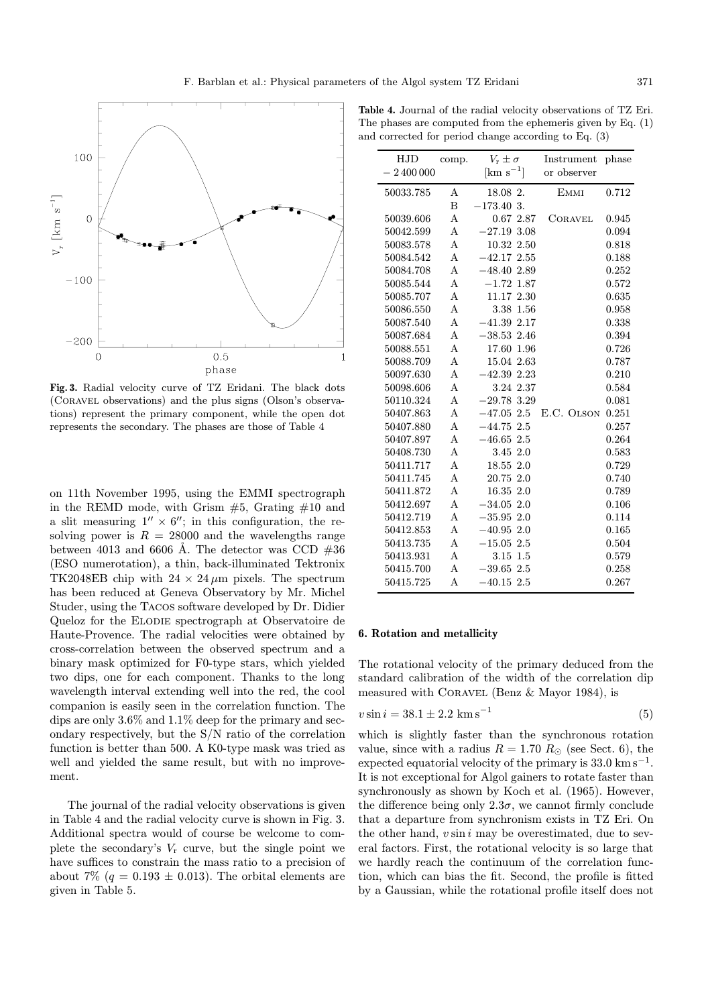

Fig. 3. Radial velocity curve of TZ Eridani. The black dots (Coravel observations) and the plus signs (Olson's observations) represent the primary component, while the open dot represents the secondary. The phases are those of Table 4

on 11th November 1995, using the EMMI spectrograph in the REMD mode, with Grism  $#5$ , Grating  $#10$  and a slit measuring  $1'' \times 6''$ ; in this configuration, the resolving power is  $R = 28000$  and the wavelengths range between 4013 and 6606 Å. The detector was CCD  $#36$ (ESO numerotation), a thin, back-illuminated Tektronix TK2048EB chip with  $24 \times 24 \mu m$  pixels. The spectrum has been reduced at Geneva Observatory by Mr. Michel Studer, using the Tacos software developed by Dr. Didier Queloz for the Elodie spectrograph at Observatoire de Haute-Provence. The radial velocities were obtained by cross-correlation between the observed spectrum and a binary mask optimized for F0-type stars, which yielded two dips, one for each component. Thanks to the long wavelength interval extending well into the red, the cool companion is easily seen in the correlation function. The dips are only 3.6% and 1.1% deep for the primary and secondary respectively, but the S/N ratio of the correlation function is better than 500. A K0-type mask was tried as well and yielded the same result, but with no improvement.

The journal of the radial velocity observations is given in Table 4 and the radial velocity curve is shown in Fig. 3. Additional spectra would of course be welcome to complete the secondary's  $V_r$  curve, but the single point we have suffices to constrain the mass ratio to a precision of about 7% ( $q = 0.193 \pm 0.013$ ). The orbital elements are given in Table 5.

| <b>Table 4.</b> Journal of the radial velocity observations of TZ Eri. |
|------------------------------------------------------------------------|
| The phases are computed from the ephemeris given by Eq. $(1)$          |
| and corrected for period change according to Eq. $(3)$                 |

| HJD        | comp. | $V_r \pm \sigma$        | Instrument     | phase |
|------------|-------|-------------------------|----------------|-------|
| $-2400000$ |       | $\mathrm{[km\ s}^{-1}]$ | or observer    |       |
| 50033.785  | А     | 18.08 2.                | <b>EMMI</b>    | 0.712 |
|            | B     | $-173.40$ 3.            |                |       |
| 50039.606  | A     | 0.672.87                | <b>CORAVEL</b> | 0.945 |
| 50042.599  | Α     | $-27.193.08$            |                | 0.094 |
| 50083.578  | A     | 10.32 2.50              |                | 0.818 |
| 50084.542  | A     | $-42.172.55$            |                | 0.188 |
| 50084.708  | Α     | $-48.402.89$            |                | 0.252 |
| 50085.544  | Α     | $-1.72$ 1.87            |                | 0.572 |
| 50085.707  | А     | 11.17 2.30              |                | 0.635 |
| 50086.550  | A     | 3.38 1.56               |                | 0.958 |
| 50087.540  | А     | $-41.392.17$            |                | 0.338 |
| 50087.684  | А     | $-38.532.46$            |                | 0.394 |
| 50088.551  | А     | 17.60 1.96              |                | 0.726 |
| 50088.709  | А     | 15.04 2.63              |                | 0.787 |
| 50097.630  | А     | $-42.3922.23$           |                | 0.210 |
| 50098.606  | A     | 3.24 2.37               |                | 0.584 |
| 50110.324  | A     | $-29.78$ 3.29           |                | 0.081 |
| 50407.863  | A     | $-47.05$ 2.5            | E.C. OLSON     | 0.251 |
| 50407.880  | А     | $-44.752.5$             |                | 0.257 |
| 50407.897  | А     | $-46.652.5$             |                | 0.264 |
| 50408.730  | А     | 3.45 2.0                |                | 0.583 |
| 50411.717  | A     | 18.55 2.0               |                | 0.729 |
| 50411.745  | А     | 20.75 2.0               |                | 0.740 |
| 50411.872  | А     | 16.35 2.0               |                | 0.789 |
| 50412.697  | А     | $-34.052.0$             |                | 0.106 |
| 50412.719  | А     | $-35.952.0$             |                | 0.114 |
| 50412.853  | Α     | $-40.952.0$             |                | 0.165 |
| 50413.735  | A     | $-15.05$ 2.5            |                | 0.504 |
| 50413.931  | A     | $3.15$ $1.5$            |                | 0.579 |
| 50415.700  | А     | $-39.652.5$             |                | 0.258 |
| 50415.725  | А     | $-40.152.5$             |                | 0.267 |

### 6. Rotation and metallicity

The rotational velocity of the primary deduced from the standard calibration of the width of the correlation dip measured with Coravel (Benz & Mayor 1984), is

$$
v\sin i = 38.1 \pm 2.2 \text{ km s}^{-1} \tag{5}
$$

which is slightly faster than the synchronous rotation value, since with a radius  $R = 1.70 R_{\odot}$  (see Sect. 6), the expected equatorial velocity of the primary is  $33.0 \text{ km s}^{-1}$ . It is not exceptional for Algol gainers to rotate faster than synchronously as shown by Koch et al. (1965). However, the difference being only  $2.3\sigma$ , we cannot firmly conclude that a departure from synchronism exists in TZ Eri. On the other hand,  $v \sin i$  may be overestimated, due to several factors. First, the rotational velocity is so large that we hardly reach the continuum of the correlation function, which can bias the fit. Second, the profile is fitted by a Gaussian, while the rotational profile itself does not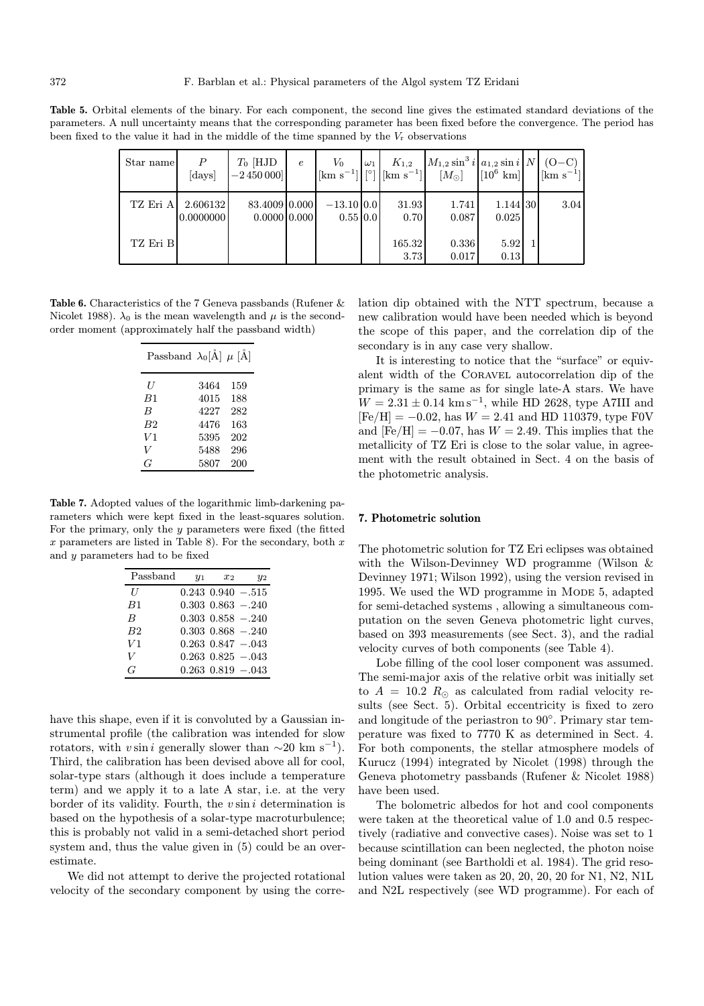Table 5. Orbital elements of the binary. For each component, the second line gives the estimated standard deviations of the parameters. A null uncertainty means that the corresponding parameter has been fixed before the convergence. The period has been fixed to the value it had in the middle of the time spanned by the  $V_r$  observations

| Star name | P<br>[days]           | $T_0$ [HJD<br>$-2450000$        | $\epsilon$ | $V_0$                    | $\omega_1$ | $K_{1,2}$<br>$[\mathrm{km} \mathrm{ s}^{-1}]$   $\lvert \, \vert^{\circ}$   $\lvert \, [\mathrm{km} \mathrm{ \mathrm{ s}}^{-1}] \rvert$ | $M_{1,2} \sin^3 i  a_{1,2} \sin i  N $<br>$[M_{\odot}]$ | $\lfloor 10^6 \text{ km} \rfloor$ | $(O-C)$<br>$\left[\mathrm{km}\;\mathrm{s}^{-1}\right]$ |
|-----------|-----------------------|---------------------------------|------------|--------------------------|------------|-----------------------------------------------------------------------------------------------------------------------------------------|---------------------------------------------------------|-----------------------------------|--------------------------------------------------------|
| TZ Eri A  | 2.606132<br>0.0000000 | 83.4009 0.000<br>$0.0000$ 0.000 |            | $-13.10 0.0$<br>0.55 0.0 |            | 31.93<br>0.70                                                                                                                           | 1.741<br>0.087                                          | 1.144 30<br>0.025                 | 3.04                                                   |
| TZ Eri B  |                       |                                 |            |                          |            | 165.32<br>3.73                                                                                                                          | 0.336<br>0.017                                          | 5.92<br>0.13                      |                                                        |

Table 6. Characteristics of the 7 Geneva passbands (Rufener & Nicolet 1988).  $\lambda_0$  is the mean wavelength and  $\mu$  is the secondorder moment (approximately half the passband width)

| U<br>159<br>3464              |
|-------------------------------|
| 188<br>4015<br>B1             |
| 282<br>4227<br>B              |
| 163<br>B <sub>2</sub><br>4476 |
| 202<br>V1<br>5395             |
| V<br>296<br>5488              |
| 5807<br>200<br>G              |

Table 7. Adopted values of the logarithmic limb-darkening parameters which were kept fixed in the least-squares solution. For the primary, only the  $y$  parameters were fixed (the fitted  $x$  parameters are listed in Table 8). For the secondary, both  $x$ and y parameters had to be fixed

| Passband | $y_1$ | $x_{2}$ | $y_2$                   |
|----------|-------|---------|-------------------------|
| II       |       |         | $0.243$ $0.940 - 0.515$ |
| B1       |       |         | $0.303$ $0.863$ $-.240$ |
| B        |       |         | $0.303$ $0.858$ $-.240$ |
| B2       |       |         | $0.303$ $0.868$ $-.240$ |
| V1       |       |         | $0.263$ $0.847 - 0.043$ |
| V        |       |         | $0.263$ $0.825$ -.043   |
| G        |       |         | $0.263$ $0.819$ $-.043$ |

have this shape, even if it is convoluted by a Gaussian instrumental profile (the calibration was intended for slow rotators, with v sin i generally slower than  $\sim$ 20 km s<sup>-1</sup>). Third, the calibration has been devised above all for cool, solar-type stars (although it does include a temperature term) and we apply it to a late A star, i.e. at the very border of its validity. Fourth, the  $v \sin i$  determination is based on the hypothesis of a solar-type macroturbulence; this is probably not valid in a semi-detached short period system and, thus the value given in (5) could be an overestimate.

We did not attempt to derive the projected rotational velocity of the secondary component by using the correlation dip obtained with the NTT spectrum, because a new calibration would have been needed which is beyond the scope of this paper, and the correlation dip of the secondary is in any case very shallow.

It is interesting to notice that the "surface" or equivalent width of the Coravel autocorrelation dip of the primary is the same as for single late-A stars. We have  $W = 2.31 \pm 0.14$  km s<sup>-1</sup>, while HD 2628, type A7III and  $[Fe/H] = -0.02$ , has  $W = 2.41$  and HD 110379, type F0V and  $[Fe/H] = -0.07$ , has  $W = 2.49$ . This implies that the metallicity of TZ Eri is close to the solar value, in agreement with the result obtained in Sect. 4 on the basis of the photometric analysis.

# 7. Photometric solution

The photometric solution for TZ Eri eclipses was obtained with the Wilson-Devinney WD programme (Wilson & Devinney 1971; Wilson 1992), using the version revised in 1995. We used the WD programme in MODE 5, adapted for semi-detached systems , allowing a simultaneous computation on the seven Geneva photometric light curves, based on 393 measurements (see Sect. 3), and the radial velocity curves of both components (see Table 4).

Lobe filling of the cool loser component was assumed. The semi-major axis of the relative orbit was initially set to  $A = 10.2 R_{\odot}$  as calculated from radial velocity results (see Sect. 5). Orbital eccentricity is fixed to zero and longitude of the periastron to 90◦. Primary star temperature was fixed to 7770 K as determined in Sect. 4. For both components, the stellar atmosphere models of Kurucz (1994) integrated by Nicolet (1998) through the Geneva photometry passbands (Rufener & Nicolet 1988) have been used.

The bolometric albedos for hot and cool components were taken at the theoretical value of 1.0 and 0.5 respectively (radiative and convective cases). Noise was set to 1 because scintillation can been neglected, the photon noise being dominant (see Bartholdi et al. 1984). The grid resolution values were taken as 20, 20, 20, 20 for N1, N2, N1L and N2L respectively (see WD programme). For each of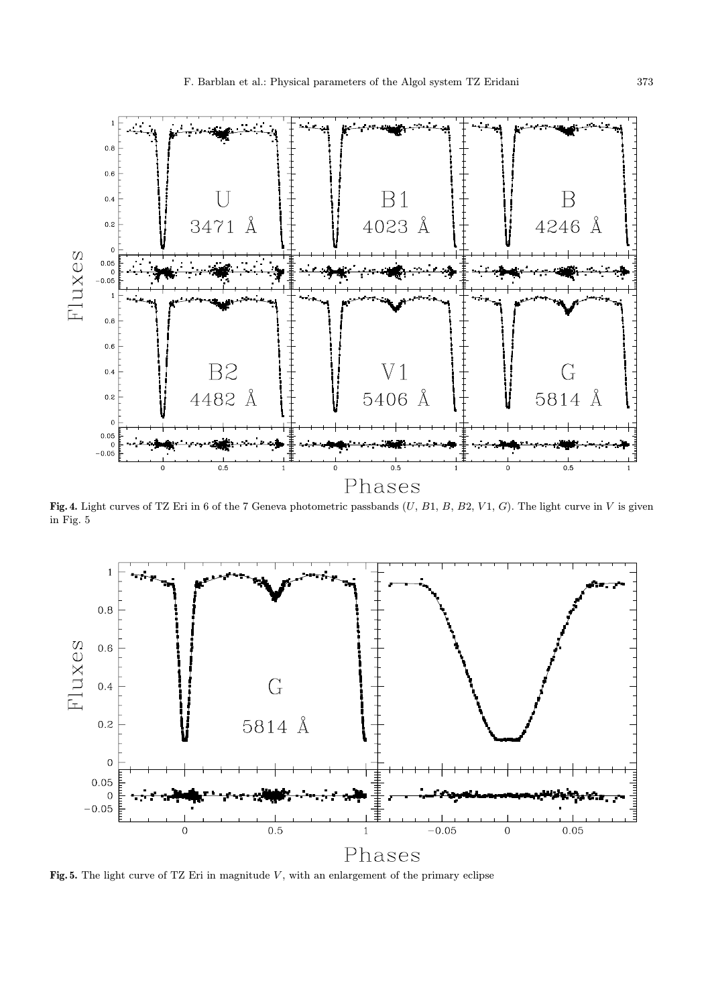

Fig. 4. Light curves of TZ Eri in 6 of the 7 Geneva photometric passbands  $(U, B1, B, B2, V1, G)$ . The light curve in V is given in Fig. 5



Fig. 5. The light curve of TZ Eri in magnitude  $V$ , with an enlargement of the primary eclipse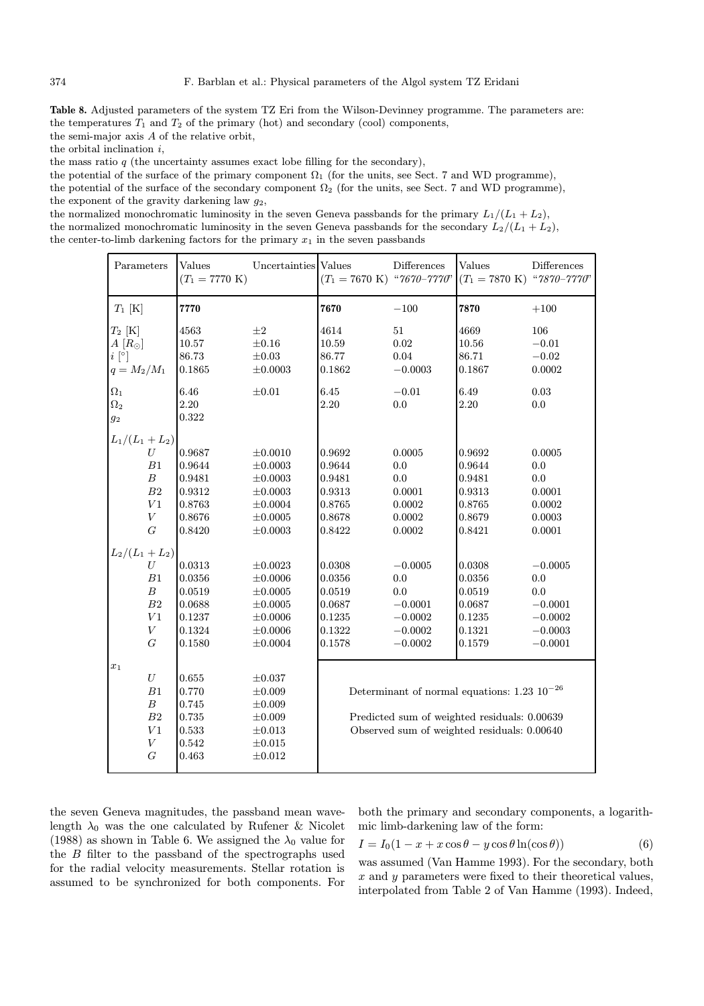Table 8. Adjusted parameters of the system TZ Eri from the Wilson-Devinney programme. The parameters are: the temperatures  $T_1$  and  $T_2$  of the primary (hot) and secondary (cool) components,

the semi-major axis A of the relative orbit,

the orbital inclination i,

the mass ratio  $q$  (the uncertainty assumes exact lobe filling for the secondary),

the potential of the surface of the primary component  $\Omega_1$  (for the units, see Sect. 7 and WD programme), the potential of the surface of the secondary component  $\Omega_2$  (for the units, see Sect. 7 and WD programme), the exponent of the gravity darkening law  $q_2$ ,

the normalized monochromatic luminosity in the seven Geneva passbands for the primary  $L_1/(L_1 + L_2)$ , the normalized monochromatic luminosity in the seven Geneva passbands for the secondary  $L_2/(L_1 + L_2)$ , the center-to-limb darkening factors for the primary  $x_1$  in the seven passbands

| Parameters       | Values<br>$(T_1 = 7770 \text{ K})$ | Uncertainties Values | $(T_1 = 7670 \text{ K})$ "7670-7770"         | Differences | Values<br>$(T_1 = 7870 \text{ K})$ "7870-7770"          | Differences |  |  |
|------------------|------------------------------------|----------------------|----------------------------------------------|-------------|---------------------------------------------------------|-------------|--|--|
| $T_1$ [K]        | 7770                               |                      | 7670                                         | $-100$      | 7870                                                    | $+100$      |  |  |
| $T_2$ [K]        | 4563                               | $\pm 2$              | 4614                                         | $51\,$      | 4669                                                    | 106         |  |  |
| $A[R_{\odot}]$   | 10.57                              | $\pm 0.16$           | 10.59                                        | 0.02        | $10.56\,$                                               | $-0.01$     |  |  |
| $i\,[^{\circ}]$  | 86.73                              | $\pm 0.03$           | 86.77                                        | 0.04        | 86.71                                                   | $-0.02$     |  |  |
| $q = M_2/M_1$    | 0.1865                             | $\pm 0.0003$         | 0.1862                                       | $-0.0003$   | 0.1867                                                  | 0.0002      |  |  |
| $\Omega_1$       | 6.46                               | $\pm 0.01$           | $6.45\,$                                     | $-0.01$     | 6.49                                                    | 0.03        |  |  |
| $\Omega_2$       | 2.20                               |                      | 2.20                                         | 0.0         | 2.20                                                    | 0.0         |  |  |
| 92               | 0.322                              |                      |                                              |             |                                                         |             |  |  |
| $L_1/(L_1+L_2)$  |                                    |                      |                                              |             |                                                         |             |  |  |
| U                | 0.9687                             | $\pm 0.0010$         | 0.9692                                       | 0.0005      | 0.9692                                                  | 0.0005      |  |  |
| B1               | 0.9644                             | $\pm 0.0003$         | 0.9644                                       | 0.0         | 0.9644                                                  | 0.0         |  |  |
| $\boldsymbol{B}$ | 0.9481                             | $\pm 0.0003$         | 0.9481                                       | 0.0         | 0.9481                                                  | 0.0         |  |  |
| ${\cal B}2$      | ${0.9312}$                         | $\pm 0.0003$         | 0.9313                                       | 0.0001      | 0.9313                                                  | 0.0001      |  |  |
| ${\cal V}1$      | 0.8763                             | $\pm 0.0004$         | 0.8765                                       | 0.0002      | 0.8765                                                  | 0.0002      |  |  |
| $\boldsymbol{V}$ | 0.8676                             | $\pm 0.0005$         | 0.8678                                       | 0.0002      | 0.8679                                                  | 0.0003      |  |  |
| $\cal G$         | 0.8420                             | $\pm 0.0003$         | 0.8422                                       | 0.0002      | 0.8421                                                  | 0.0001      |  |  |
| $L_2/(L_1+L_2)$  |                                    |                      |                                              |             |                                                         |             |  |  |
| U                | 0.0313                             | $\pm 0.0023$         | 0.0308                                       | $-0.0005$   | 0.0308                                                  | $-0.0005$   |  |  |
| $\mathbb{B}1$    | 0.0356                             | $\pm 0.0006$         | 0.0356                                       | $0.0\,$     | 0.0356                                                  | $0.0\,$     |  |  |
| $\boldsymbol{B}$ | 0.0519                             | $\pm 0.0005$         | 0.0519                                       | 0.0         | 0.0519                                                  | 0.0         |  |  |
| ${\cal B}2$      | 0.0688                             | $\pm 0.0005$         | 0.0687                                       | $-0.0001$   | 0.0687                                                  | $-0.0001$   |  |  |
| ${\cal V}1$      | 0.1237                             | $\pm 0.0006$         | 0.1235                                       | $-0.0002$   | 0.1235                                                  | $-0.0002$   |  |  |
| $\boldsymbol{V}$ | 0.1324                             | $\pm 0.0006$         | 0.1322                                       | $-0.0002$   | 0.1321                                                  | $-0.0003$   |  |  |
| $\cal G$         | 0.1580                             | $\pm 0.0004$         | 0.1578                                       | $-0.0002$   | 0.1579                                                  | $-0.0001$   |  |  |
| $x_1$            |                                    |                      |                                              |             |                                                         |             |  |  |
| $\cal U$         | 0.655                              | $\pm 0.037$          |                                              |             |                                                         |             |  |  |
| B1               | 0.770                              | $\pm 0.009$          |                                              |             | Determinant of normal equations: $1.23 \times 10^{-26}$ |             |  |  |
| $\boldsymbol{B}$ | 0.745                              | $\pm 0.009$          |                                              |             |                                                         |             |  |  |
| ${\cal B}2$      | 0.735                              | $\pm 0.009$          | Predicted sum of weighted residuals: 0.00639 |             |                                                         |             |  |  |
| V1               | 0.533                              | $\pm 0.013$          | Observed sum of weighted residuals: 0.00640  |             |                                                         |             |  |  |
| $\boldsymbol{V}$ | 0.542                              | $\pm 0.015$          |                                              |             |                                                         |             |  |  |
| $G\,$            | 0.463                              | $\pm 0.012$          |                                              |             |                                                         |             |  |  |
|                  |                                    |                      |                                              |             |                                                         |             |  |  |

the seven Geneva magnitudes, the passband mean wavelength  $\lambda_0$  was the one calculated by Rufener & Nicolet (1988) as shown in Table 6. We assigned the  $\lambda_0$  value for the B filter to the passband of the spectrographs used for the radial velocity measurements. Stellar rotation is assumed to be synchronized for both components. For both the primary and secondary components, a logarithmic limb-darkening law of the form:

$$
I = I_0(1 - x + x\cos\theta - y\cos\theta\ln(\cos\theta))
$$
 (6)

was assumed (Van Hamme 1993). For the secondary, both  $x$  and  $y$  parameters were fixed to their theoretical values, interpolated from Table 2 of Van Hamme (1993). Indeed,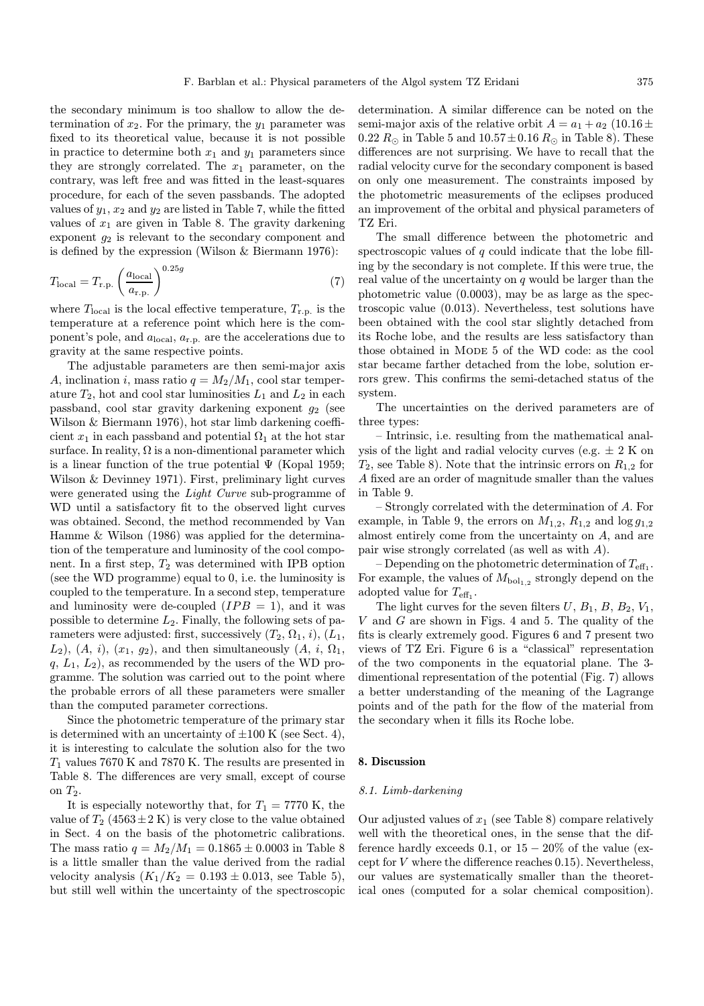the secondary minimum is too shallow to allow the determination of  $x_2$ . For the primary, the  $y_1$  parameter was fixed to its theoretical value, because it is not possible in practice to determine both  $x_1$  and  $y_1$  parameters since they are strongly correlated. The  $x_1$  parameter, on the contrary, was left free and was fitted in the least-squares procedure, for each of the seven passbands. The adopted values of  $y_1, x_2$  and  $y_2$  are listed in Table 7, while the fitted values of  $x_1$  are given in Table 8. The gravity darkening exponent  $g_2$  is relevant to the secondary component and is defined by the expression (Wilson & Biermann 1976):

$$
T_{\text{local}} = T_{\text{r.p.}} \left(\frac{a_{\text{local}}}{a_{\text{r.p.}}}\right)^{0.25g} \tag{7}
$$

where  $T_{\text{local}}$  is the local effective temperature,  $T_{\text{r.p.}}$  is the temperature at a reference point which here is the component's pole, and  $a_{\text{local}}$ ,  $a_{\text{r.p.}}$  are the accelerations due to gravity at the same respective points.

The adjustable parameters are then semi-major axis A, inclination i, mass ratio  $q = M_2/M_1$ , cool star temperature  $T_2$ , hot and cool star luminosities  $L_1$  and  $L_2$  in each passband, cool star gravity darkening exponent  $q_2$  (see Wilson & Biermann 1976), hot star limb darkening coefficient  $x_1$  in each passband and potential  $\Omega_1$  at the hot star surface. In reality,  $\Omega$  is a non-dimentional parameter which is a linear function of the true potential  $\Psi$  (Kopal 1959; Wilson & Devinney 1971). First, preliminary light curves were generated using the Light Curve sub-programme of WD until a satisfactory fit to the observed light curves was obtained. Second, the method recommended by Van Hamme & Wilson (1986) was applied for the determination of the temperature and luminosity of the cool component. In a first step,  $T_2$  was determined with IPB option (see the WD programme) equal to 0, i.e. the luminosity is coupled to the temperature. In a second step, temperature and luminosity were de-coupled  $(IPB = 1)$ , and it was possible to determine  $L_2$ . Finally, the following sets of parameters were adjusted: first, successively  $(T_2, \Omega_1, i)$ ,  $(L_1,$  $L_2$ ),  $(A, i)$ ,  $(x_1, g_2)$ , and then simultaneously  $(A, i, \Omega_1,$  $q, L_1, L_2$ , as recommended by the users of the WD programme. The solution was carried out to the point where the probable errors of all these parameters were smaller than the computed parameter corrections.

Since the photometric temperature of the primary star is determined with an uncertainty of  $\pm 100$  K (see Sect. 4), it is interesting to calculate the solution also for the two  $T_1$  values 7670 K and 7870 K. The results are presented in Table 8. The differences are very small, except of course on  $T_2$ .

It is especially noteworthy that, for  $T_1 = 7770$  K, the value of  $T_2$  (4563 ± 2 K) is very close to the value obtained in Sect. 4 on the basis of the photometric calibrations. The mass ratio  $q = M_2/M_1 = 0.1865 \pm 0.0003$  in Table 8 is a little smaller than the value derived from the radial velocity analysis  $(K_1/K_2 = 0.193 \pm 0.013$ , see Table 5), but still well within the uncertainty of the spectroscopic determination. A similar difference can be noted on the semi-major axis of the relative orbit  $A = a_1 + a_2$  (10.16  $\pm$ 0.22  $R_{\odot}$  in Table 5 and 10.57  $\pm$  0.16  $R_{\odot}$  in Table 8). These differences are not surprising. We have to recall that the radial velocity curve for the secondary component is based on only one measurement. The constraints imposed by the photometric measurements of the eclipses produced an improvement of the orbital and physical parameters of TZ Eri.

The small difference between the photometric and spectroscopic values of  $q$  could indicate that the lobe filling by the secondary is not complete. If this were true, the real value of the uncertainty on  $q$  would be larger than the photometric value (0.0003), may be as large as the spectroscopic value (0.013). Nevertheless, test solutions have been obtained with the cool star slightly detached from its Roche lobe, and the results are less satisfactory than those obtained in MODE 5 of the WD code: as the cool star became farther detached from the lobe, solution errors grew. This confirms the semi-detached status of the system.

The uncertainties on the derived parameters are of three types:

– Intrinsic, i.e. resulting from the mathematical analysis of the light and radial velocity curves (e.g.  $\pm$  2 K on  $T_2$ , see Table 8). Note that the intrinsic errors on  $R_{1,2}$  for A fixed are an order of magnitude smaller than the values in Table 9.

– Strongly correlated with the determination of A. For example, in Table 9, the errors on  $M_{1,2}$ ,  $R_{1,2}$  and  $\log g_{1,2}$ almost entirely come from the uncertainty on A, and are pair wise strongly correlated (as well as with A).

– Depending on the photometric determination of  $T_{\text{eff}_1}$ . For example, the values of  $M_{\text{bol}_{1,2}}$  strongly depend on the adopted value for  $T_{\text{eff}_1}$ .

The light curves for the seven filters  $U, B_1, B, B_2, V_1$ ,  $V$  and  $G$  are shown in Figs. 4 and 5. The quality of the fits is clearly extremely good. Figures 6 and 7 present two views of TZ Eri. Figure 6 is a "classical" representation of the two components in the equatorial plane. The 3 dimentional representation of the potential (Fig. 7) allows a better understanding of the meaning of the Lagrange points and of the path for the flow of the material from the secondary when it fills its Roche lobe.

### 8. Discussion

#### 8.1. Limb-darkening

Our adjusted values of  $x_1$  (see Table 8) compare relatively well with the theoretical ones, in the sense that the difference hardly exceeds 0.1, or  $15-20\%$  of the value (except for  $V$  where the difference reaches 0.15). Nevertheless, our values are systematically smaller than the theoretical ones (computed for a solar chemical composition).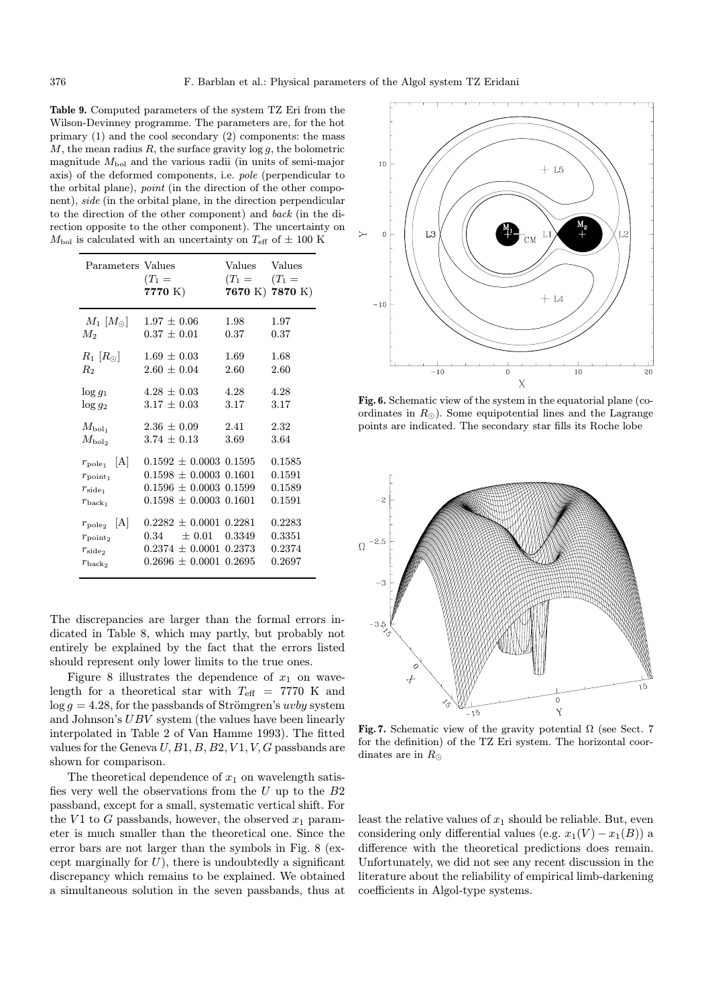Table 9. Computed parameters of the system TZ Eri from the Wilson-Devinney programme. The parameters are, for the hot primary (1) and the cool secondary (2) components: the mass  $M$ , the mean radius  $R$ , the surface gravity  $\log g$ , the bolometric magnitude  $M_{\text{bol}}$  and the various radii (in units of semi-major axis) of the deformed components, i.e. pole (perpendicular to the orbital plane), point (in the direction of the other component), side (in the orbital plane, in the direction perpendicular to the direction of the other component) and back (in the direction opposite to the other component). The uncertainty on  $M_{\rm bol}$  is calculated with an uncertainty on  $T_{\rm eff}$  of  $\pm$  100 K

| Parameters Values                                                                         | $(T_1 =$                                                                                                             | Values           | Values                               |
|-------------------------------------------------------------------------------------------|----------------------------------------------------------------------------------------------------------------------|------------------|--------------------------------------|
|                                                                                           | 7770 K)                                                                                                              | $(T_1 = (T_1 =$  | 7670 K) 7870 K)                      |
| $M_1  M_{\odot} $                                                                         | $1.97 \pm 0.06$                                                                                                      | 1.98             | 1.97                                 |
| $M_2$                                                                                     | $0.37 \, \pm \, 0.01$                                                                                                | 0.37             | 0.37                                 |
| $R_1$ $ R_{\odot} $                                                                       | $1.69 \pm 0.03$                                                                                                      | 1.69             | 1.68                                 |
| $R_{2}$                                                                                   | $2.60 \pm 0.04$                                                                                                      | 2.60             | 2.60                                 |
| $\log g_1$                                                                                | $4.28 \pm 0.03$                                                                                                      | 4.28             | 4.28                                 |
| $\log g_2$                                                                                | $3.17 \pm 0.03$                                                                                                      | 3.17             | 3.17                                 |
| $M_{\rm bol_1}$                                                                           | $2.36 \pm 0.09$                                                                                                      | 2.41             | 2.32                                 |
| $M_{\rm bol_2}$                                                                           | $3.74 \pm 0.13$                                                                                                      | 3.69             | 3.64                                 |
| A <br>$r_{\rm pole_1}$<br>$r_{\text{point}_1}$<br>$r_{\rm side_1}$<br>$r_{\text{back}_1}$ | $0.1592 \pm 0.0003$ 0.1595<br>$0.1598 \pm 0.0003$ 0.1601<br>$0.1596 \pm 0.0003$ 0.1599<br>$0.1598 \pm 0.0003$ 0.1601 |                  | 0.1585<br>0.1591<br>0.1589<br>0.1591 |
| A <br>$r_{\text{pole}_2}$<br>$r_{\text{point}_2}$<br>$r_{\rm side}$<br>$r_{\rm back}$     | $0.2282 \pm 0.0001$ 0.2281<br>$\pm 0.01$<br>0.34<br>$0.2374 \pm 0.0001$<br>$0.2696 \pm 0.0001$ 0.2695                | 0.3349<br>0.2373 | 0.2283<br>0.3351<br>0.2374<br>0.2697 |

The discrepancies are larger than the formal errors indicated in Table 8, which may partly, but probably not entirely be explained by the fact that the errors listed should represent only lower limits to the true ones.

Figure 8 illustrates the dependence of  $x_1$  on wavelength for a theoretical star with  $T_{\text{eff}}$  = 7770 K and  $\log g = 4.28$ , for the passbands of Strömgren's uvby system and Johnson's UBV system (the values have been linearly interpolated in Table 2 of Van Hamme 1993). The fitted values for the Geneva U,  $B1, B, B2, V1, V, G$  passbands are shown for comparison.

The theoretical dependence of  $x_1$  on wavelength satisfies very well the observations from the  $U$  up to the  $B2$ passband, except for a small, systematic vertical shift. For the V1 to G passbands, however, the observed  $x_1$  parameter is much smaller than the theoretical one. Since the error bars are not larger than the symbols in Fig. 8 (except marginally for  $U$ ), there is undoubtedly a significant discrepancy which remains to be explained. We obtained a simultaneous solution in the seven passbands, thus at



Fig. 6. Schematic view of the system in the equatorial plane (coordinates in  $R_{\odot}$ ). Some equipotential lines and the Lagrange points are indicated. The secondary star fills its Roche lobe



Fig. 7. Schematic view of the gravity potential  $\Omega$  (see Sect. 7) for the definition) of the TZ Eri system. The horizontal coordinates are in  $R_{\odot}$ 

least the relative values of  $x_1$  should be reliable. But, even considering only differential values (e.g.  $x_1(V) - x_1(B)$ ) a difference with the theoretical predictions does remain. Unfortunately, we did not see any recent discussion in the literature about the reliability of empirical limb-darkening coefficients in Algol-type systems.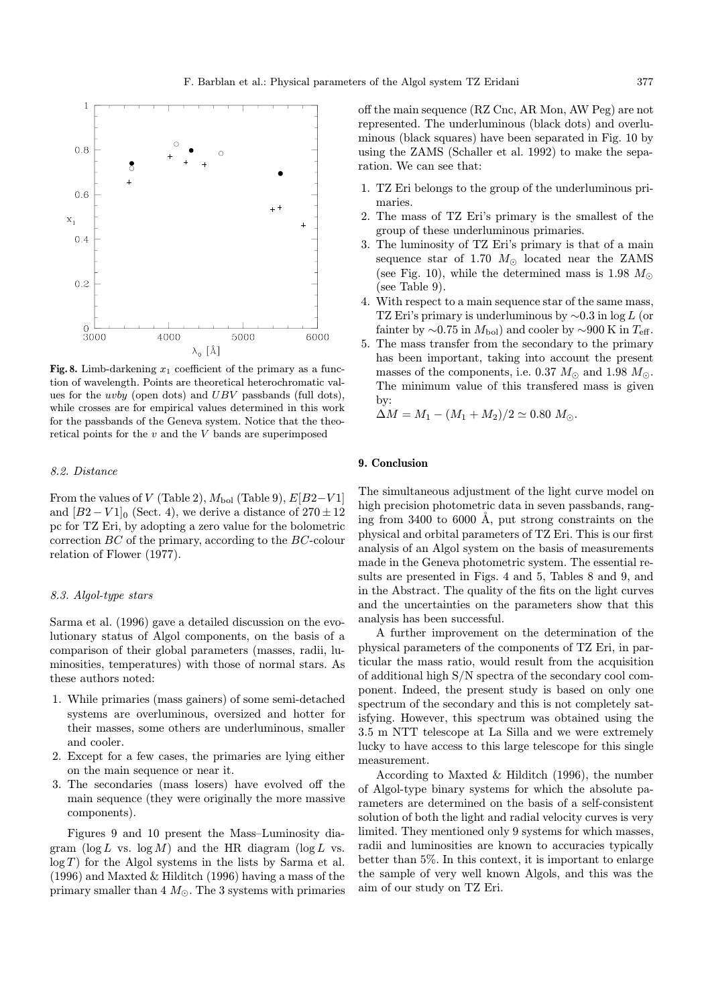

Fig. 8. Limb-darkening  $x_1$  coefficient of the primary as a function of wavelength. Points are theoretical heterochromatic values for the uvby (open dots) and UBV passbands (full dots), while crosses are for empirical values determined in this work for the passbands of the Geneva system. Notice that the theoretical points for the  $v$  and the  $V$  bands are superimposed

## 8.2. Distance

From the values of V (Table 2),  $M_{bol}$  (Table 9),  $E[B2-V1]$ and  $[B2 - V1]_0$  (Sect. 4), we derive a distance of  $270 \pm 12$ pc for TZ Eri, by adopting a zero value for the bolometric correction  $BC$  of the primary, according to the  $BC$ -colour relation of Flower (1977).

## 8.3. Algol-type stars

Sarma et al. (1996) gave a detailed discussion on the evolutionary status of Algol components, on the basis of a comparison of their global parameters (masses, radii, luminosities, temperatures) with those of normal stars. As these authors noted:

- 1. While primaries (mass gainers) of some semi-detached systems are overluminous, oversized and hotter for their masses, some others are underluminous, smaller and cooler.
- 2. Except for a few cases, the primaries are lying either on the main sequence or near it.
- 3. The secondaries (mass losers) have evolved off the main sequence (they were originally the more massive components).

Figures 9 and 10 present the Mass–Luminosity diagram ( $\log L$  vs.  $\log M$ ) and the HR diagram ( $\log L$  vs.  $log T$  ) for the Algol systems in the lists by Sarma et al. (1996) and Maxted & Hilditch (1996) having a mass of the primary smaller than  $4 M_{\odot}$ . The 3 systems with primaries off the main sequence (RZ Cnc, AR Mon, AW Peg) are not represented. The underluminous (black dots) and overluminous (black squares) have been separated in Fig. 10 by using the ZAMS (Schaller et al. 1992) to make the separation. We can see that:

- 1. TZ Eri belongs to the group of the underluminous primaries.
- 2. The mass of TZ Eri's primary is the smallest of the group of these underluminous primaries.
- 3. The luminosity of TZ Eri's primary is that of a main sequence star of 1.70  $M_{\odot}$  located near the ZAMS (see Fig. 10), while the determined mass is 1.98  $M_{\odot}$ (see Table 9).
- 4. With respect to a main sequence star of the same mass, TZ Eri's primary is underluminous by ∼0.3 in log L (or fainter by  $\sim$ 0.75 in  $M_{\text{bol}}$ ) and cooler by  $\sim$ 900 K in  $T_{\text{eff}}$ .
- 5. The mass transfer from the secondary to the primary has been important, taking into account the present masses of the components, i.e. 0.37  $M_{\odot}$  and 1.98  $M_{\odot}$ . The minimum value of this transfered mass is given by:

$$
\Delta M = M_1 - (M_1 + M_2)/2 \simeq 0.80 \ M_{\odot}.
$$

# 9. Conclusion

The simultaneous adjustment of the light curve model on high precision photometric data in seven passbands, ranging from  $3400$  to  $6000$  Å, put strong constraints on the physical and orbital parameters of TZ Eri. This is our first analysis of an Algol system on the basis of measurements made in the Geneva photometric system. The essential results are presented in Figs. 4 and 5, Tables 8 and 9, and in the Abstract. The quality of the fits on the light curves and the uncertainties on the parameters show that this analysis has been successful.

A further improvement on the determination of the physical parameters of the components of TZ Eri, in particular the mass ratio, would result from the acquisition of additional high S/N spectra of the secondary cool component. Indeed, the present study is based on only one spectrum of the secondary and this is not completely satisfying. However, this spectrum was obtained using the 3.5 m NTT telescope at La Silla and we were extremely lucky to have access to this large telescope for this single measurement.

According to Maxted & Hilditch (1996), the number of Algol-type binary systems for which the absolute parameters are determined on the basis of a self-consistent solution of both the light and radial velocity curves is very limited. They mentioned only 9 systems for which masses, radii and luminosities are known to accuracies typically better than 5%. In this context, it is important to enlarge the sample of very well known Algols, and this was the aim of our study on TZ Eri.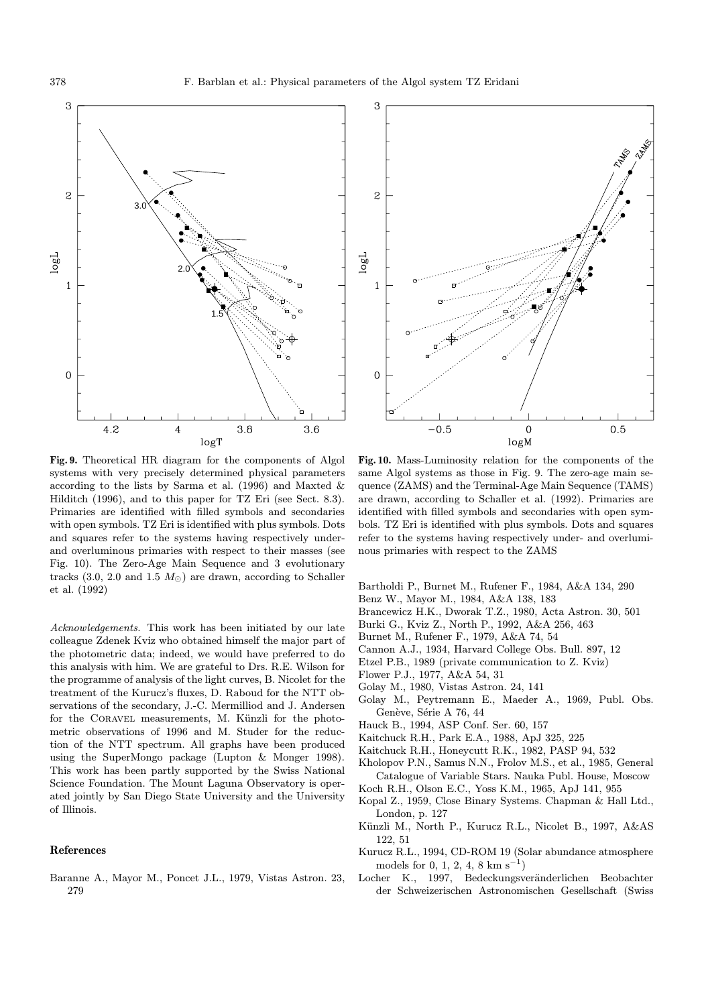



Fig. 9. Theoretical HR diagram for the components of Algol systems with very precisely determined physical parameters according to the lists by Sarma et al. (1996) and Maxted & Hilditch (1996), and to this paper for TZ Eri (see Sect. 8.3). Primaries are identified with filled symbols and secondaries with open symbols. TZ Eri is identified with plus symbols. Dots and squares refer to the systems having respectively underand overluminous primaries with respect to their masses (see Fig. 10). The Zero-Age Main Sequence and 3 evolutionary tracks (3.0, 2.0 and 1.5  $M_{\odot}$ ) are drawn, according to Schaller et al. (1992)

Acknowledgements. This work has been initiated by our late colleague Zdenek Kviz who obtained himself the major part of the photometric data; indeed, we would have preferred to do this analysis with him. We are grateful to Drs. R.E. Wilson for the programme of analysis of the light curves, B. Nicolet for the treatment of the Kurucz's fluxes, D. Raboud for the NTT observations of the secondary, J.-C. Mermilliod and J. Andersen for the CORAVEL measurements, M. Künzli for the photometric observations of 1996 and M. Studer for the reduction of the NTT spectrum. All graphs have been produced using the SuperMongo package (Lupton & Monger 1998). This work has been partly supported by the Swiss National Science Foundation. The Mount Laguna Observatory is operated jointly by San Diego State University and the University of Illinois.

#### References

Baranne A., Mayor M., Poncet J.L., 1979, Vistas Astron. 23, 279

Fig. 10. Mass-Luminosity relation for the components of the same Algol systems as those in Fig. 9. The zero-age main sequence (ZAMS) and the Terminal-Age Main Sequence (TAMS) are drawn, according to Schaller et al. (1992). Primaries are identified with filled symbols and secondaries with open symbols. TZ Eri is identified with plus symbols. Dots and squares refer to the systems having respectively under- and overluminous primaries with respect to the ZAMS

- Bartholdi P., Burnet M., Rufener F., 1984, A&A 134, 290
- Benz W., Mayor M., 1984, A&A 138, 183
- Brancewicz H.K., Dworak T.Z., 1980, Acta Astron. 30, 501
- Burki G., Kviz Z., North P., 1992, A&A 256, 463
- Burnet M., Rufener F., 1979, A&A 74, 54
- Cannon A.J., 1934, Harvard College Obs. Bull. 897, 12
- Etzel P.B., 1989 (private communication to Z. Kviz)
- Flower P.J., 1977, A&A 54, 31
- Golay M., 1980, Vistas Astron. 24, 141
- Golay M., Peytremann E., Maeder A., 1969, Publ. Obs. Genève, Série A 76, 44
- Hauck B., 1994, ASP Conf. Ser. 60, 157
- Kaitchuck R.H., Park E.A., 1988, ApJ 325, 225
- Kaitchuck R.H., Honeycutt R.K., 1982, PASP 94, 532
- Kholopov P.N., Samus N.N., Frolov M.S., et al., 1985, General Catalogue of Variable Stars. Nauka Publ. House, Moscow
- Koch R.H., Olson E.C., Yoss K.M., 1965, ApJ 141, 955
- Kopal Z., 1959, Close Binary Systems. Chapman & Hall Ltd., London, p. 127
- Künzli M., North P., Kurucz R.L., Nicolet B., 1997, A&AS 122, 51
- Kurucz R.L., 1994, CD-ROM 19 (Solar abundance atmosphere models for 0, 1, 2, 4, 8 km s<sup>-1</sup>)
- Locher K., 1997, Bedeckungsveränderlichen Beobachter der Schweizerischen Astronomischen Gesellschaft (Swiss